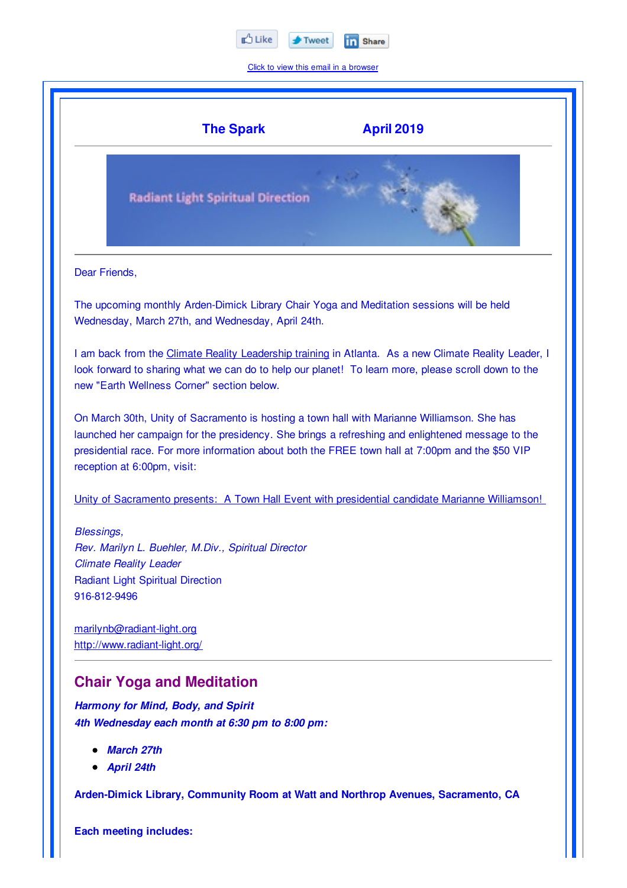

Click to view this email in a browser



**Each meeting includes:**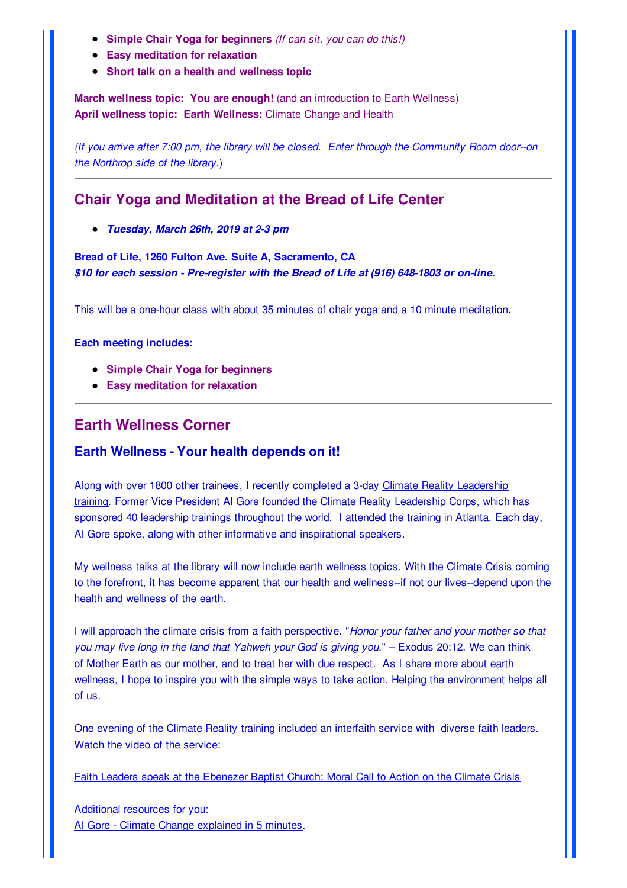- **Simple Chair Yoga for beginners** *(If can sit, you can do this!)*
- **Easy meditation for relaxation**
- **Short talk on a health and wellness topic**

**March wellness topic: You are enough!** (and an introduction to Earth Wellness) **April wellness topic: Earth Wellness:** Climate Change and Health

*(If you arrive after 7:00 pm, the library will be closed. Enter through the Community Room door--on the Northrop side of the library.*)

## **Chair Yoga and Meditation at the Bread of Life Center**

*Tuesday, March 26th, 2019 at 2-3 pm*

**Bread of Life, 1260 Fulton Ave. Suite A, Sacramento, CA** *\$10 for each session - Pre-register with the Bread of Life at (916) 648-1803 or on-line.*

This will be a one-hour class with about 35 minutes of chair yoga and a 10 minute meditation.

**Each meeting includes:**

- **Simple Chair Yoga for beginners**
- **Easy meditation for relaxation**

## **Earth Wellness Corner**

#### **Earth Wellness - Your health depends on it!**

Along with over 1800 other trainees, I recently completed a 3-day Climate Reality Leadership training. Former Vice President Al Gore founded the Climate Reality Leadership Corps, which has sponsored 40 leadership trainings throughout the world. I attended the training in Atlanta. Each day, Al Gore spoke, along with other informative and inspirational speakers.

My wellness talks at the library will now include earth wellness topics. With the Climate Crisis coming to the forefront, it has become apparent that our health and wellness--if not our lives--depend upon the health and wellness of the earth.

I will approach the climate crisis from a faith perspective. "*Honor your father and your mother so that you may live long in the land that Yahweh your God is giving you*." – Exodus 20:12. We can think of Mother Earth as our mother, and to treat her with due respect. As I share more about earth wellness, I hope to inspire you with the simple ways to take action. Helping the environment helps all of us.

One evening of the Climate Reality training included an interfaith service with diverse faith leaders. Watch the video of the service:

Faith Leaders speak at the Ebenezer Baptist Church: Moral Call to Action on the Climate Crisis

Additional resources for you: Al Gore - Climate Change explained in 5 minutes.